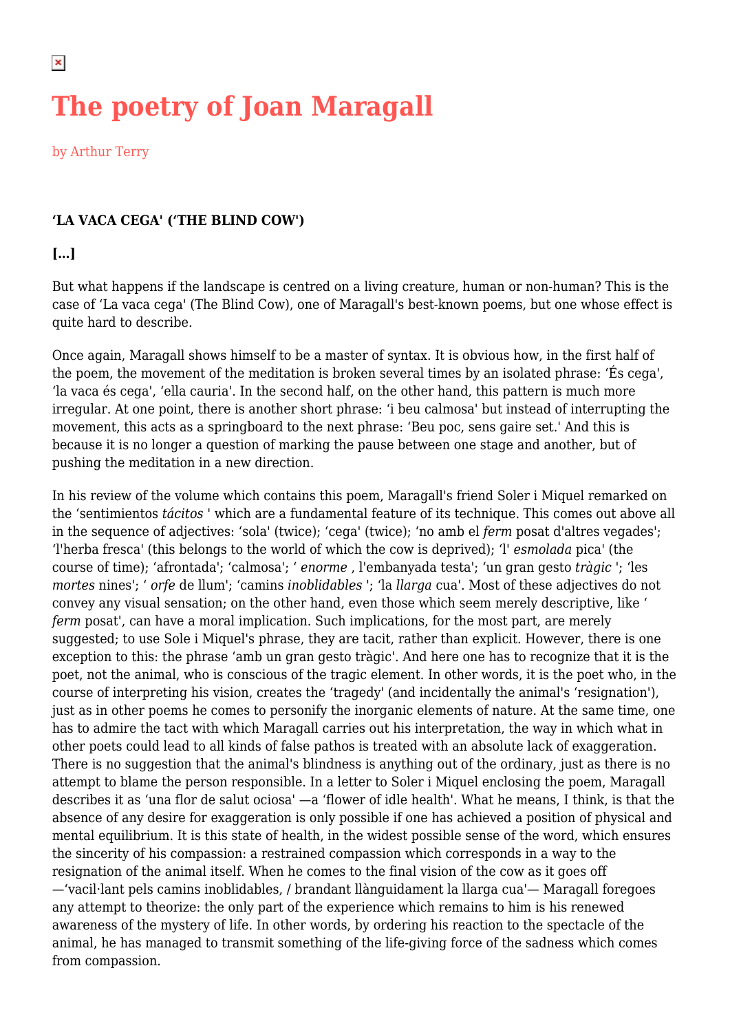# **The poetry of Joan Maragall**

by Arthur Terry

## **'LA VACA CEGA' ('THE BLIND COW')**

#### **[…]**

But what happens if the landscape is centred on a living creature, human or non-human? This is the case of 'La vaca cega' (The Blind Cow), one of Maragall's best-known poems, but one whose effect is quite hard to describe.

Once again, Maragall shows himself to be a master of syntax. It is obvious how, in the first half of the poem, the movement of the meditation is broken several times by an isolated phrase: 'És cega', 'la vaca és cega', 'ella cauria'. In the second half, on the other hand, this pattern is much more irregular. At one point, there is another short phrase: 'i beu calmosa' but instead of interrupting the movement, this acts as a springboard to the next phrase: 'Beu poc, sens gaire set.' And this is because it is no longer a question of marking the pause between one stage and another, but of pushing the meditation in a new direction.

In his review of the volume which contains this poem, Maragall's friend Soler i Miquel remarked on the 'sentimientos *tácitos* ' which are a fundamental feature of its technique. This comes out above all in the sequence of adjectives: 'sola' (twice); 'cega' (twice); 'no amb el *ferm* posat d'altres vegades'; 'l'herba fresca' (this belongs to the world of which the cow is deprived); 'l' *esmolada* pica' (the course of time); 'afrontada'; 'calmosa'; ' *enorme* , l'embanyada testa'; 'un gran gesto *tràgic* '; 'les *mortes* nines'; ' *orfe* de llum'; 'camins *inoblidables* '; 'la *llarga* cua'. Most of these adjectives do not convey any visual sensation; on the other hand, even those which seem merely descriptive, like ' *ferm* posat', can have a moral implication. Such implications, for the most part, are merely suggested; to use Sole i Miquel's phrase, they are tacit, rather than explicit. However, there is one exception to this: the phrase 'amb un gran gesto tràgic'. And here one has to recognize that it is the poet, not the animal, who is conscious of the tragic element. In other words, it is the poet who, in the course of interpreting his vision, creates the 'tragedy' (and incidentally the animal's 'resignation'), just as in other poems he comes to personify the inorganic elements of nature. At the same time, one has to admire the tact with which Maragall carries out his interpretation, the way in which what in other poets could lead to all kinds of false pathos is treated with an absolute lack of exaggeration. There is no suggestion that the animal's blindness is anything out of the ordinary, just as there is no attempt to blame the person responsible. In a letter to Soler i Miquel enclosing the poem, Maragall describes it as 'una flor de salut ociosa' —a 'flower of idle health'. What he means, I think, is that the absence of any desire for exaggeration is only possible if one has achieved a position of physical and mental equilibrium. It is this state of health, in the widest possible sense of the word, which ensures the sincerity of his compassion: a restrained compassion which corresponds in a way to the resignation of the animal itself. When he comes to the final vision of the cow as it goes off —'vacil·lant pels camins inoblidables, / brandant llànguidament la llarga cua'— Maragall foregoes any attempt to theorize: the only part of the experience which remains to him is his renewed awareness of the mystery of life. In other words, by ordering his reaction to the spectacle of the animal, he has managed to transmit something of the life-giving force of the sadness which comes from compassion.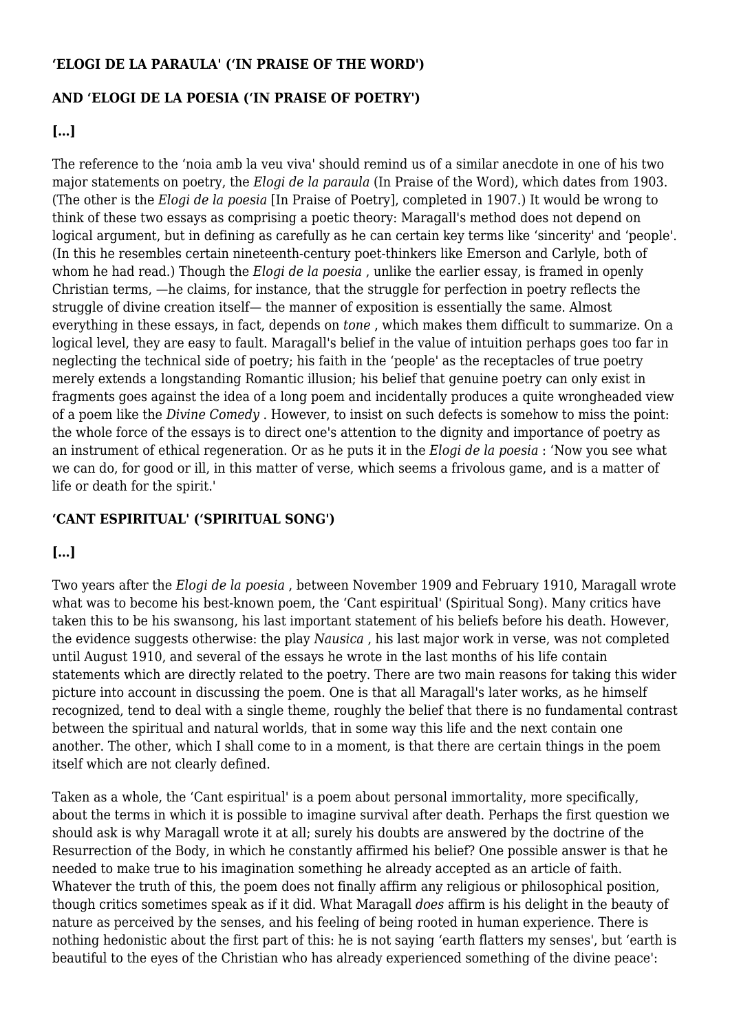#### **'ELOGI DE LA PARAULA' ('IN PRAISE OF THE WORD')**

## **AND 'ELOGI DE LA POESIA ('IN PRAISE OF POETRY')**

## **[…]**

The reference to the 'noia amb la veu viva' should remind us of a similar anecdote in one of his two major statements on poetry, the *Elogi de la paraula* (In Praise of the Word), which dates from 1903. (The other is the *Elogi de la poesia* [In Praise of Poetry], completed in 1907.) It would be wrong to think of these two essays as comprising a poetic theory: Maragall's method does not depend on logical argument, but in defining as carefully as he can certain key terms like 'sincerity' and 'people'. (In this he resembles certain nineteenth-century poet-thinkers like Emerson and Carlyle, both of whom he had read.) Though the *Elogi de la poesia* , unlike the earlier essay, is framed in openly Christian terms, —he claims, for instance, that the struggle for perfection in poetry reflects the struggle of divine creation itself— the manner of exposition is essentially the same. Almost everything in these essays, in fact, depends on *tone* , which makes them difficult to summarize. On a logical level, they are easy to fault. Maragall's belief in the value of intuition perhaps goes too far in neglecting the technical side of poetry; his faith in the 'people' as the receptacles of true poetry merely extends a longstanding Romantic illusion; his belief that genuine poetry can only exist in fragments goes against the idea of a long poem and incidentally produces a quite wrongheaded view of a poem like the *Divine Comedy* . However, to insist on such defects is somehow to miss the point: the whole force of the essays is to direct one's attention to the dignity and importance of poetry as an instrument of ethical regeneration. Or as he puts it in the *Elogi de la poesia* : 'Now you see what we can do, for good or ill, in this matter of verse, which seems a frivolous game, and is a matter of life or death for the spirit.'

# **'CANT ESPIRITUAL' ('SPIRITUAL SONG')**

# **[…]**

Two years after the *Elogi de la poesia* , between November 1909 and February 1910, Maragall wrote what was to become his best-known poem, the 'Cant espiritual' (Spiritual Song). Many critics have taken this to be his swansong, his last important statement of his beliefs before his death. However, the evidence suggests otherwise: the play *Nausica* , his last major work in verse, was not completed until August 1910, and several of the essays he wrote in the last months of his life contain statements which are directly related to the poetry. There are two main reasons for taking this wider picture into account in discussing the poem. One is that all Maragall's later works, as he himself recognized, tend to deal with a single theme, roughly the belief that there is no fundamental contrast between the spiritual and natural worlds, that in some way this life and the next contain one another. The other, which I shall come to in a moment, is that there are certain things in the poem itself which are not clearly defined.

Taken as a whole, the 'Cant espiritual' is a poem about personal immortality, more specifically, about the terms in which it is possible to imagine survival after death. Perhaps the first question we should ask is why Maragall wrote it at all; surely his doubts are answered by the doctrine of the Resurrection of the Body, in which he constantly affirmed his belief? One possible answer is that he needed to make true to his imagination something he already accepted as an article of faith. Whatever the truth of this, the poem does not finally affirm any religious or philosophical position, though critics sometimes speak as if it did. What Maragall *does* affirm is his delight in the beauty of nature as perceived by the senses, and his feeling of being rooted in human experience. There is nothing hedonistic about the first part of this: he is not saying 'earth flatters my senses', but 'earth is beautiful to the eyes of the Christian who has already experienced something of the divine peace':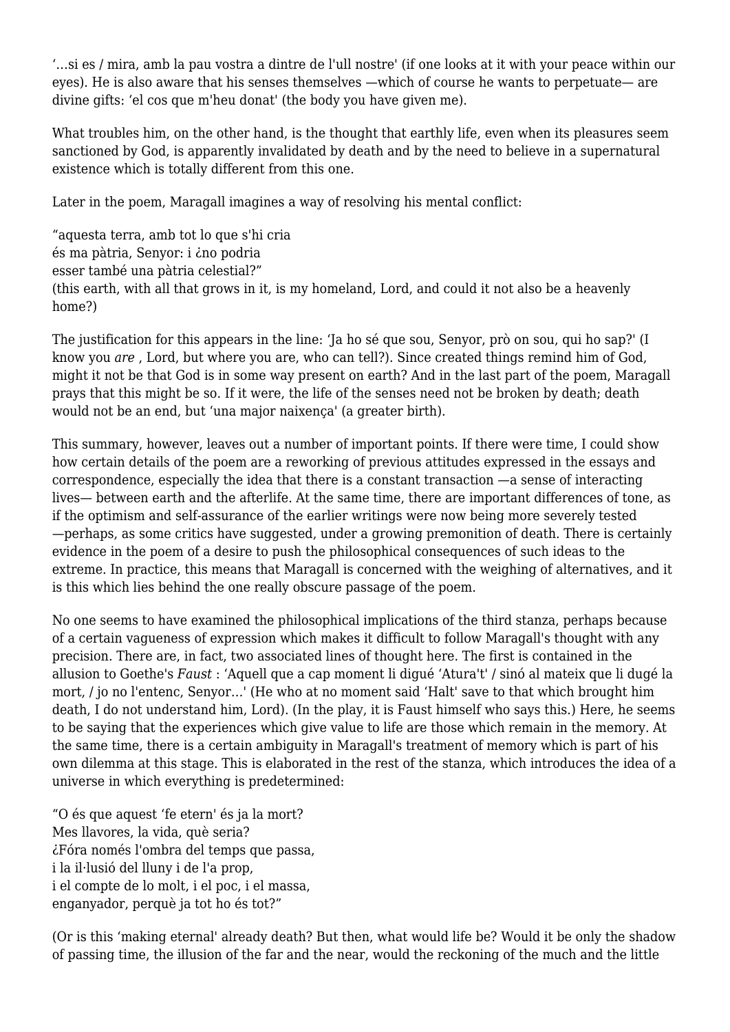'…si es / mira, amb la pau vostra a dintre de l'ull nostre' (if one looks at it with your peace within our eyes). He is also aware that his senses themselves —which of course he wants to perpetuate— are divine gifts: 'el cos que m'heu donat' (the body you have given me).

What troubles him, on the other hand, is the thought that earthly life, even when its pleasures seem sanctioned by God, is apparently invalidated by death and by the need to believe in a supernatural existence which is totally different from this one.

Later in the poem, Maragall imagines a way of resolving his mental conflict:

"aquesta terra, amb tot lo que s'hi cria és ma pàtria, Senyor: i ¿no podria esser també una pàtria celestial?" (this earth, with all that grows in it, is my homeland, Lord, and could it not also be a heavenly home?)

The justification for this appears in the line: 'Ja ho sé que sou, Senyor, prò on sou, qui ho sap?' (I know you *are* , Lord, but where you are, who can tell?). Since created things remind him of God, might it not be that God is in some way present on earth? And in the last part of the poem, Maragall prays that this might be so. If it were, the life of the senses need not be broken by death; death would not be an end, but 'una major naixença' (a greater birth).

This summary, however, leaves out a number of important points. If there were time, I could show how certain details of the poem are a reworking of previous attitudes expressed in the essays and correspondence, especially the idea that there is a constant transaction —a sense of interacting lives— between earth and the afterlife. At the same time, there are important differences of tone, as if the optimism and self-assurance of the earlier writings were now being more severely tested —perhaps, as some critics have suggested, under a growing premonition of death. There is certainly evidence in the poem of a desire to push the philosophical consequences of such ideas to the extreme. In practice, this means that Maragall is concerned with the weighing of alternatives, and it is this which lies behind the one really obscure passage of the poem.

No one seems to have examined the philosophical implications of the third stanza, perhaps because of a certain vagueness of expression which makes it difficult to follow Maragall's thought with any precision. There are, in fact, two associated lines of thought here. The first is contained in the allusion to Goethe's *Faust* : 'Aquell que a cap moment li digué 'Atura't' / sinó al mateix que li dugé la mort, / jo no l'entenc, Senyor…' (He who at no moment said 'Halt' save to that which brought him death, I do not understand him, Lord). (In the play, it is Faust himself who says this.) Here, he seems to be saying that the experiences which give value to life are those which remain in the memory. At the same time, there is a certain ambiguity in Maragall's treatment of memory which is part of his own dilemma at this stage. This is elaborated in the rest of the stanza, which introduces the idea of a universe in which everything is predetermined:

"O és que aquest 'fe etern' és ja la mort? Mes llavores, la vida, què seria? ¿Fóra només l'ombra del temps que passa, i la il·lusió del lluny i de l'a prop, i el compte de lo molt, i el poc, i el massa, enganyador, perquè ja tot ho és tot?"

(Or is this 'making eternal' already death? But then, what would life be? Would it be only the shadow of passing time, the illusion of the far and the near, would the reckoning of the much and the little